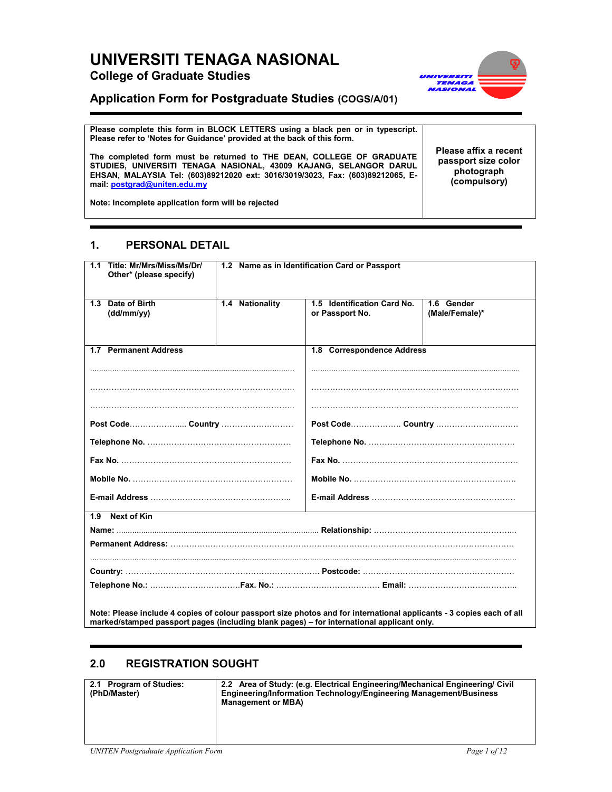# UNIVERSITI TENAGA NASIONAL College of Graduate Studies



## Application Form for Postgraduate Studies (COGS/A/01)

Please complete this form in BLOCK LETTERS using a black pen or in typescript. Please refer to 'Notes for Guidance' provided at the back of this form.

The completed form must be returned to THE DEAN, COLLEGE OF GRADUATE STUDIES, UNIVERSITI TENAGA NASIONAL, 43009 KAJANG, SELANGOR DARUL EHSAN, MALAYSIA Tel: (603)89212020 ext: 3016/3019/3023, Fax: (603)89212065, Email: postgrad@uniten.edu.my

Please affix a recent passport size color photograph (compulsory)

Note: Incomplete application form will be rejected

## 1. PERSONAL DETAIL

| Title: Mr/Mrs/Miss/Ms/Dr/<br>1.1<br>Other* (please specify) | 1.2 Name as in Identification Card or Passport |                                                |                                |
|-------------------------------------------------------------|------------------------------------------------|------------------------------------------------|--------------------------------|
| Date of Birth<br>1.3<br>(dd/mm/vv)                          | 1.4 Nationality                                | 1.5 Identification Card No.<br>or Passport No. | $1.6$ Gender<br>(Male/Female)* |
| 1.7 Permanent Address                                       |                                                | 1.8 Correspondence Address                     |                                |
|                                                             |                                                |                                                |                                |
|                                                             |                                                |                                                |                                |
|                                                             |                                                |                                                |                                |
|                                                             |                                                |                                                |                                |
|                                                             |                                                |                                                |                                |
|                                                             |                                                |                                                |                                |
| <b>Next of Kin</b><br>1.9                                   |                                                |                                                |                                |
|                                                             |                                                |                                                |                                |
|                                                             |                                                |                                                |                                |

## 2.0 REGISTRATION SOUGHT

| 2.1 Program of Studies:<br>(PhD/Master) | 2.2 Area of Study: (e.g. Electrical Engineering/Mechanical Engineering/ Civil<br>Engineering/Information Technology/Engineering Management/Business<br><b>Management or MBA)</b> |
|-----------------------------------------|----------------------------------------------------------------------------------------------------------------------------------------------------------------------------------|
|                                         |                                                                                                                                                                                  |

marked/stamped passport pages (including blank pages) – for international applicant only.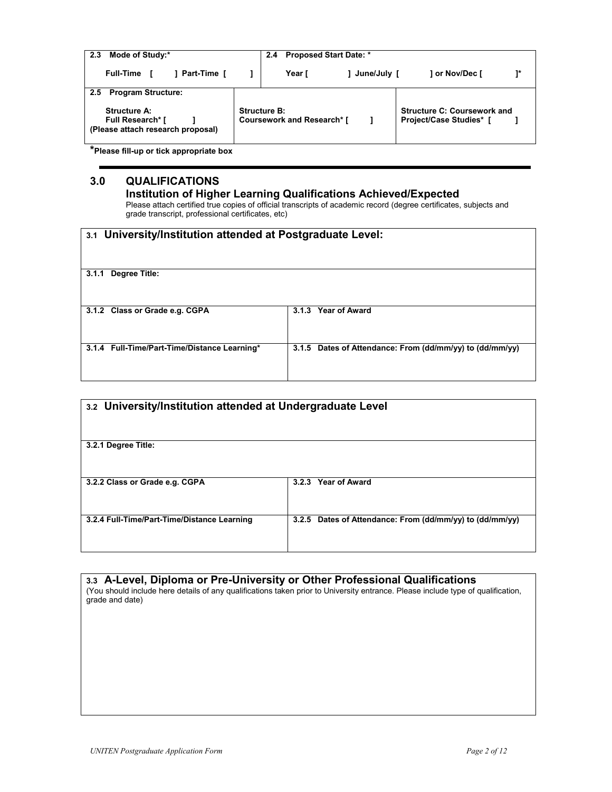| Mode of Study:*<br>2.3                                                                                                            | <b>Proposed Start Date: *</b><br>2.4                     |               |                                                                      |      |
|-----------------------------------------------------------------------------------------------------------------------------------|----------------------------------------------------------|---------------|----------------------------------------------------------------------|------|
| ] Part-Time [<br><b>Full-Time</b>                                                                                                 | Year [                                                   | 1 June/July [ | 1 or Nov/Dec [                                                       | $1*$ |
| <b>Program Structure:</b><br>$2.5^{\circ}$<br><b>Structure A:</b><br><b>Full Research*</b> [<br>(Please attach research proposal) | <b>Structure B:</b><br><b>Coursework and Research* [</b> |               | <b>Structure C: Coursework and</b><br><b>Project/Case Studies*</b> [ |      |

\*Please fill-up or tick appropriate box

# 3.0 QUALIFICATIONS

### Institution of Higher Learning Qualifications Achieved/Expected

Please attach certified true copies of official transcripts of academic record (degree certificates, subjects and grade transcript, professional certificates, etc)

| 3.1 University/Institution attended at Postgraduate Level: |                                                          |
|------------------------------------------------------------|----------------------------------------------------------|
| Degree Title:<br>3.1.1                                     |                                                          |
| 3.1.2 Class or Grade e.g. CGPA                             | 3.1.3 Year of Award                                      |
| 3.1.4 Full-Time/Part-Time/Distance Learning*               | 3.1.5 Dates of Attendance: From (dd/mm/yy) to (dd/mm/yy) |

| 3.2 University/Institution attended at Undergraduate Level |                                                          |
|------------------------------------------------------------|----------------------------------------------------------|
| 3.2.1 Degree Title:                                        |                                                          |
| 3.2.2 Class or Grade e.g. CGPA                             | Year of Award<br>3.2.3                                   |
| 3.2.4 Full-Time/Part-Time/Distance Learning                | 3.2.5 Dates of Attendance: From (dd/mm/yy) to (dd/mm/yy) |
|                                                            |                                                          |

| 3.3 A-Level, Diploma or Pre-University or Other Professional Qualifications                                                                         |
|-----------------------------------------------------------------------------------------------------------------------------------------------------|
| (You should include here details of any qualifications taken prior to University entrance. Please include type of qualification,<br>grade and date) |
|                                                                                                                                                     |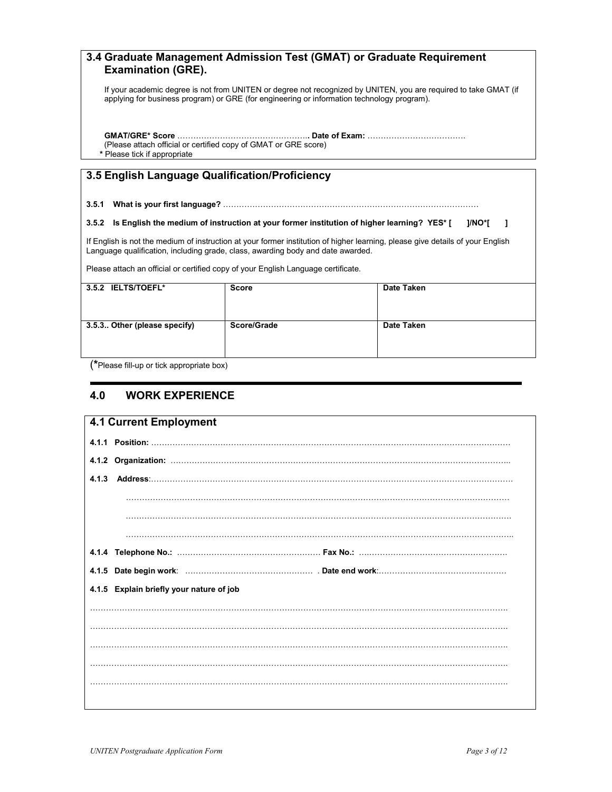## 3.4 Graduate Management Admission Test (GMAT) or Graduate Requirement Examination (GRE).

If your academic degree is not from UNITEN or degree not recognized by UNITEN, you are required to take GMAT (if applying for business program) or GRE (for engineering or information technology program).

GMAT/GRE\* Score ………………………………………….. Date of Exam: ………………………………. (Please attach official or certified copy of GMAT or GRE score) \* Please tick if appropriate

## 3.5 English Language Qualification/Proficiency

#### 3.5.1 What is your first language? ……………………………………………………………………………………

#### 3.5.2 Is English the medium of instruction at your former institution of higher learning? YES\* [ ]/NO\*[ ]

If English is not the medium of instruction at your former institution of higher learning, please give details of your English Language qualification, including grade, class, awarding body and date awarded.

Please attach an official or certified copy of your English Language certificate.

| 3.5.2 IELTS/TOEFL*           | <b>Score</b> | Date Taken |
|------------------------------|--------------|------------|
|                              |              |            |
|                              |              |            |
|                              |              |            |
|                              |              |            |
|                              |              |            |
|                              |              |            |
| 3.5.3 Other (please specify) | Score/Grade  | Date Taken |
|                              |              |            |
|                              |              |            |
|                              |              |            |
|                              |              |            |
|                              |              |            |
|                              |              |            |
|                              |              |            |

(\*Please fill-up or tick appropriate box)

## 4.0 WORK EXPERIENCE

| <b>4.1 Current Employment</b>            |  |
|------------------------------------------|--|
|                                          |  |
|                                          |  |
|                                          |  |
|                                          |  |
|                                          |  |
|                                          |  |
|                                          |  |
|                                          |  |
|                                          |  |
| 4.1.5 Explain briefly your nature of job |  |
|                                          |  |
|                                          |  |
|                                          |  |
|                                          |  |
|                                          |  |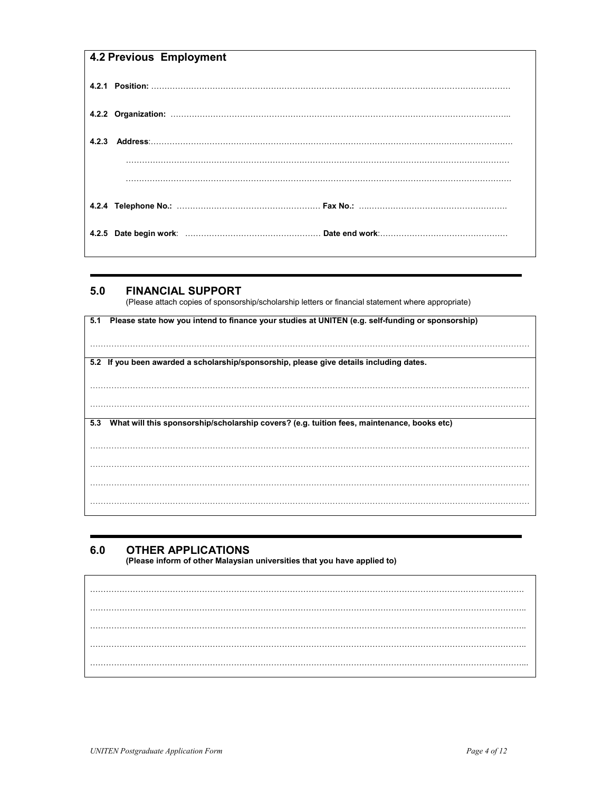# 4.2 Previous Employment

## 5.0 FINANCIAL SUPPORT

(Please attach copies of sponsorship/scholarship letters or financial statement where appropriate)

| 5.1 Please state how you intend to finance your studies at UNITEN (e.g. self-funding or sponsorship) |  |
|------------------------------------------------------------------------------------------------------|--|
|                                                                                                      |  |
|                                                                                                      |  |
|                                                                                                      |  |
|                                                                                                      |  |
|                                                                                                      |  |
|                                                                                                      |  |
| 5.2 If you been awarded a scholarship/sponsorship, please give details including dates.              |  |
|                                                                                                      |  |
|                                                                                                      |  |
|                                                                                                      |  |
|                                                                                                      |  |
|                                                                                                      |  |
|                                                                                                      |  |
|                                                                                                      |  |
|                                                                                                      |  |
|                                                                                                      |  |
| What will this sponsorship/scholarship covers? (e.g. tuition fees, maintenance, books etc)<br>5.3    |  |
|                                                                                                      |  |
|                                                                                                      |  |
|                                                                                                      |  |
|                                                                                                      |  |
|                                                                                                      |  |
|                                                                                                      |  |
|                                                                                                      |  |
|                                                                                                      |  |
|                                                                                                      |  |
|                                                                                                      |  |
|                                                                                                      |  |
|                                                                                                      |  |
|                                                                                                      |  |
|                                                                                                      |  |
|                                                                                                      |  |

## 6.0 OTHER APPLICATIONS

(Please inform of other Malaysian universities that you have applied to)

………………………………………………………………………………………………………………………………………………. ……………………………………………………………………………………………………………………………………………….. ……………………………………………………………………………………………………………………………………………….. ……………………………………………………………………………………………………………………………………………….. ………………………………………………………………………………………………………………………………………………...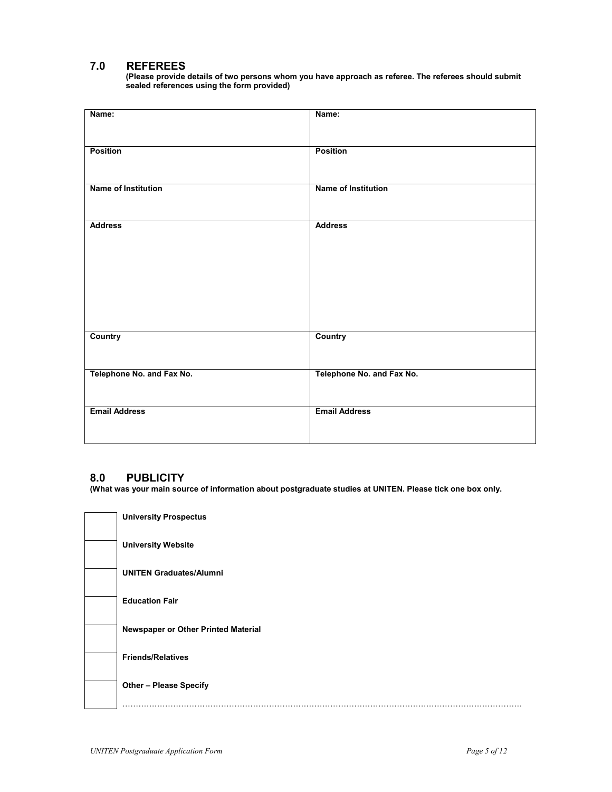## 7.0 REFEREES

(Please provide details of two persons whom you have approach as referee. The referees should submit sealed references using the form provided)

| Name:                      | Name:                      |
|----------------------------|----------------------------|
| <b>Position</b>            | <b>Position</b>            |
| <b>Name of Institution</b> | <b>Name of Institution</b> |
|                            |                            |
| <b>Address</b>             | <b>Address</b>             |
|                            |                            |
|                            |                            |
|                            |                            |
| <b>Country</b>             | <b>Country</b>             |
| Telephone No. and Fax No.  | Telephone No. and Fax No.  |
| <b>Email Address</b>       | <b>Email Address</b>       |
|                            |                            |

### 8.0 PUBLICITY

(What was your main source of information about postgraduate studies at UNITEN. Please tick one box only.

| <b>University Prospectus</b>        |
|-------------------------------------|
| <b>University Website</b>           |
| <b>UNITEN Graduates/Alumni</b>      |
| <b>Education Fair</b>               |
| Newspaper or Other Printed Material |
| <b>Friends/Relatives</b>            |
| <b>Other - Please Specify</b>       |
|                                     |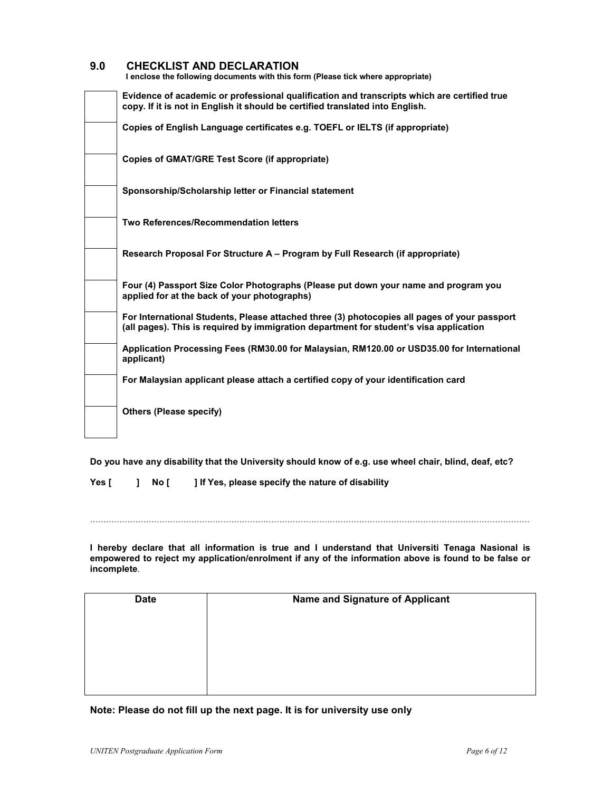### 9.0 CHECKLIST AND DECLARATION

I enclose the following documents with this form (Please tick where appropriate)

| Evidence of academic or professional qualification and transcripts which are certified true<br>copy. If it is not in English it should be certified translated into English.           |
|----------------------------------------------------------------------------------------------------------------------------------------------------------------------------------------|
| Copies of English Language certificates e.g. TOEFL or IELTS (if appropriate)                                                                                                           |
| <b>Copies of GMAT/GRE Test Score (if appropriate)</b>                                                                                                                                  |
| Sponsorship/Scholarship letter or Financial statement                                                                                                                                  |
| Two References/Recommendation letters                                                                                                                                                  |
| Research Proposal For Structure A – Program by Full Research (if appropriate)                                                                                                          |
| Four (4) Passport Size Color Photographs (Please put down your name and program you<br>applied for at the back of your photographs)                                                    |
| For International Students, Please attached three (3) photocopies all pages of your passport<br>(all pages). This is required by immigration department for student's visa application |
| Application Processing Fees (RM30.00 for Malaysian, RM120.00 or USD35.00 for International<br>applicant)                                                                               |
| For Malaysian applicant please attach a certified copy of your identification card                                                                                                     |
| <b>Others (Please specify)</b>                                                                                                                                                         |

Do you have any disability that the University should know of e.g. use wheel chair, blind, deaf, etc?

Yes [ ] No [ ] If Yes, please specify the nature of disability

…………………………………………………………………………………………………………………………………………………

I hereby declare that all information is true and I understand that Universiti Tenaga Nasional is empowered to reject my application/enrolment if any of the information above is found to be false or incomplete.

| <b>Date</b> | Name and Signature of Applicant |
|-------------|---------------------------------|
|             |                                 |
|             |                                 |
|             |                                 |
|             |                                 |

Note: Please do not fill up the next page. It is for university use only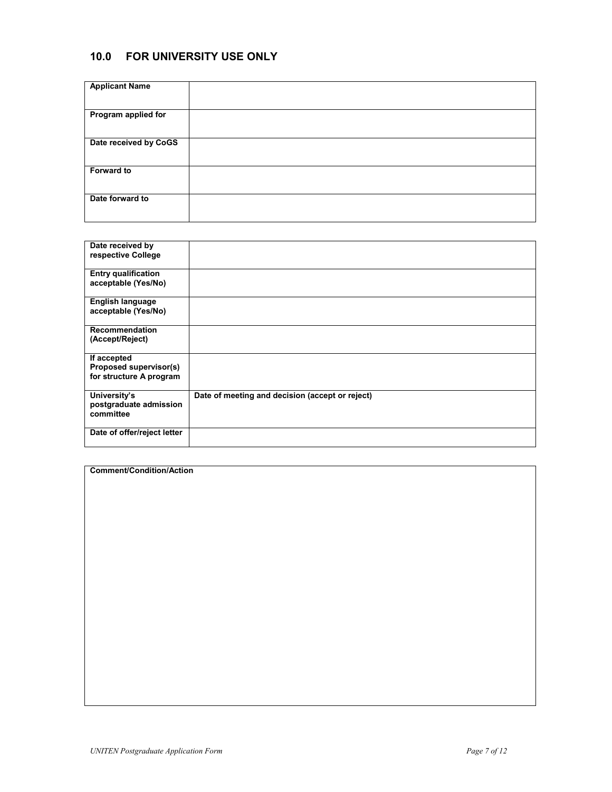# 10.0 FOR UNIVERSITY USE ONLY

| <b>Applicant Name</b> |  |
|-----------------------|--|
| Program applied for   |  |
| Date received by CoGS |  |
| <b>Forward to</b>     |  |
| Date forward to       |  |
|                       |  |

| Date received by<br>respective College                           |                                                 |
|------------------------------------------------------------------|-------------------------------------------------|
| <b>Entry qualification</b><br>acceptable (Yes/No)                |                                                 |
| <b>English language</b><br>acceptable (Yes/No)                   |                                                 |
| Recommendation<br>(Accept/Reject)                                |                                                 |
| If accepted<br>Proposed supervisor(s)<br>for structure A program |                                                 |
| University's<br>postgraduate admission<br>committee              | Date of meeting and decision (accept or reject) |
| Date of offer/reject letter                                      |                                                 |

| <b>Comment/Condition/Action</b> |  |  |  |
|---------------------------------|--|--|--|
|                                 |  |  |  |
|                                 |  |  |  |
|                                 |  |  |  |
|                                 |  |  |  |
|                                 |  |  |  |
|                                 |  |  |  |
|                                 |  |  |  |
|                                 |  |  |  |
|                                 |  |  |  |
|                                 |  |  |  |
|                                 |  |  |  |
|                                 |  |  |  |
|                                 |  |  |  |
|                                 |  |  |  |
|                                 |  |  |  |
|                                 |  |  |  |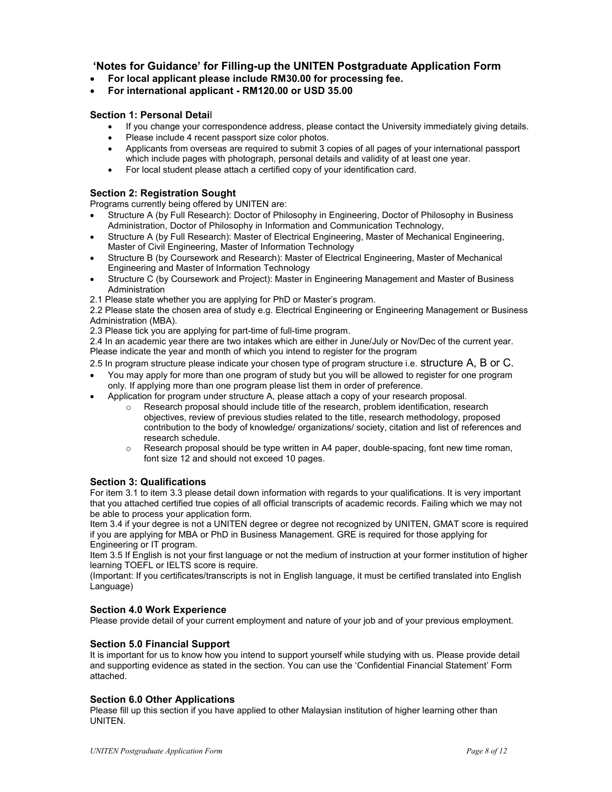## 'Notes for Guidance' for Filling-up the UNITEN Postgraduate Application Form

- For local applicant please include RM30.00 for processing fee.
- For international applicant RM120.00 or USD 35.00

### Section 1: Personal Detail

- If you change your correspondence address, please contact the University immediately giving details.
- Please include 4 recent passport size color photos.
- Applicants from overseas are required to submit 3 copies of all pages of your international passport which include pages with photograph, personal details and validity of at least one year.
- For local student please attach a certified copy of your identification card.

### Section 2: Registration Sought

Programs currently being offered by UNITEN are:

- Structure A (by Full Research): Doctor of Philosophy in Engineering, Doctor of Philosophy in Business Administration, Doctor of Philosophy in Information and Communication Technology,
- Structure A (by Full Research): Master of Electrical Engineering, Master of Mechanical Engineering, Master of Civil Engineering, Master of Information Technology
- Structure B (by Coursework and Research): Master of Electrical Engineering, Master of Mechanical Engineering and Master of Information Technology
- Structure C (by Coursework and Project): Master in Engineering Management and Master of Business **Administration**
- 2.1 Please state whether you are applying for PhD or Master's program.

2.2 Please state the chosen area of study e.g. Electrical Engineering or Engineering Management or Business Administration (MBA).

2.3 Please tick you are applying for part-time of full-time program.

2.4 In an academic year there are two intakes which are either in June/July or Nov/Dec of the current year. Please indicate the year and month of which you intend to register for the program

2.5 In program structure please indicate your chosen type of program structure i.e. Structure A, B or C.

- You may apply for more than one program of study but you will be allowed to register for one program only. If applying more than one program please list them in order of preference.
- Application for program under structure A, please attach a copy of your research proposal.
	- o Research proposal should include title of the research, problem identification, research objectives, review of previous studies related to the title, research methodology, proposed contribution to the body of knowledge/ organizations/ society, citation and list of references and research schedule.
	- $\circ$  Research proposal should be type written in A4 paper, double-spacing, font new time roman, font size 12 and should not exceed 10 pages.

### Section 3: Qualifications

For item 3.1 to item 3.3 please detail down information with regards to your qualifications. It is very important that you attached certified true copies of all official transcripts of academic records. Failing which we may not be able to process your application form.

Item 3.4 if your degree is not a UNITEN degree or degree not recognized by UNITEN, GMAT score is required if you are applying for MBA or PhD in Business Management. GRE is required for those applying for Engineering or IT program.

Item 3.5 If English is not your first language or not the medium of instruction at your former institution of higher learning TOEFL or IELTS score is require.

(Important: If you certificates/transcripts is not in English language, it must be certified translated into English Language)

### Section 4.0 Work Experience

Please provide detail of your current employment and nature of your job and of your previous employment.

### Section 5.0 Financial Support

It is important for us to know how you intend to support yourself while studying with us. Please provide detail and supporting evidence as stated in the section. You can use the 'Confidential Financial Statement' Form attached.

### Section 6.0 Other Applications

Please fill up this section if you have applied to other Malaysian institution of higher learning other than UNITEN.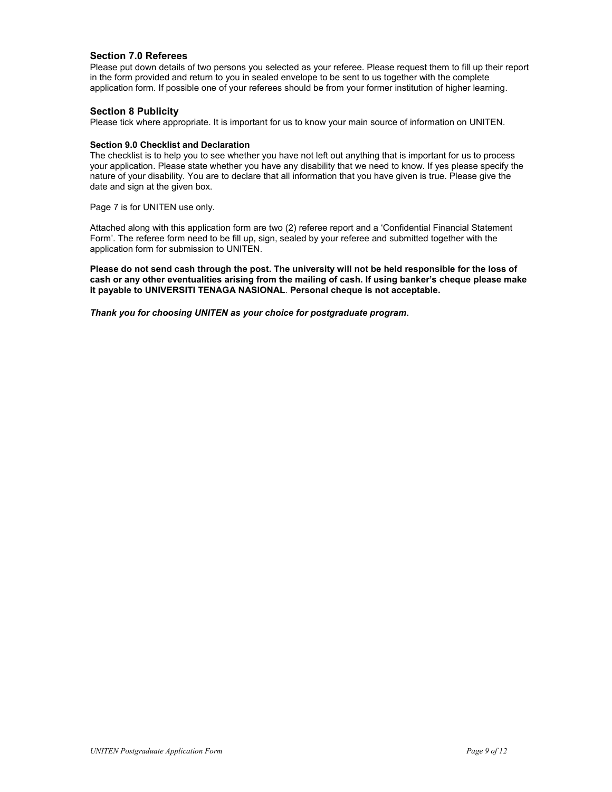#### Section 7.0 Referees

Please put down details of two persons you selected as your referee. Please request them to fill up their report in the form provided and return to you in sealed envelope to be sent to us together with the complete application form. If possible one of your referees should be from your former institution of higher learning.

#### Section 8 Publicity

Please tick where appropriate. It is important for us to know your main source of information on UNITEN.

#### Section 9.0 Checklist and Declaration

The checklist is to help you to see whether you have not left out anything that is important for us to process your application. Please state whether you have any disability that we need to know. If yes please specify the nature of your disability. You are to declare that all information that you have given is true. Please give the date and sign at the given box.

Page 7 is for UNITEN use only.

Attached along with this application form are two (2) referee report and a 'Confidential Financial Statement Form'. The referee form need to be fill up, sign, sealed by your referee and submitted together with the application form for submission to UNITEN.

Please do not send cash through the post. The university will not be held responsible for the loss of cash or any other eventualities arising from the mailing of cash. If using banker's cheque please make it payable to UNIVERSITI TENAGA NASIONAL. Personal cheque is not acceptable.

Thank you for choosing UNITEN as your choice for postgraduate program.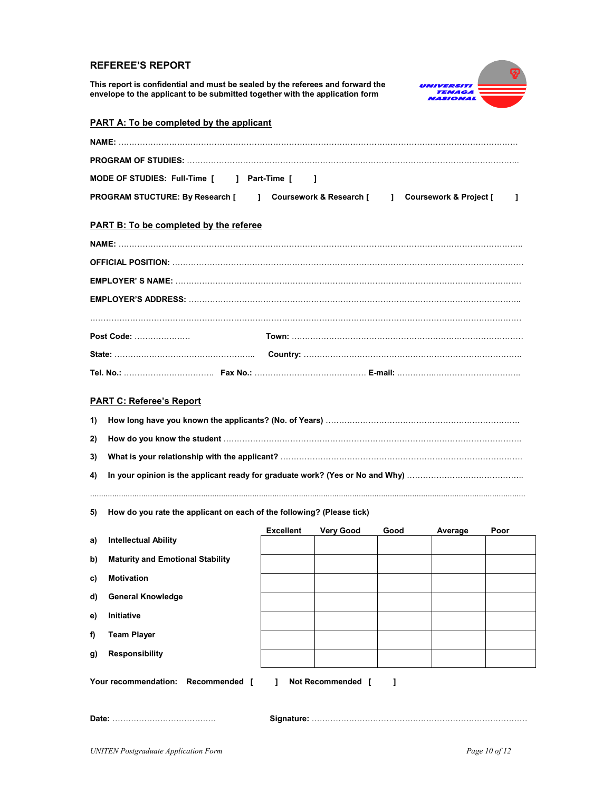### REFEREE'S REPORT

This report is confidential and must be sealed by the referees and forward the envelope to the applicant to be submitted together with the application form



| <b>PART A: To be completed by the applicant</b>                             |                  |                         |      |                          |      |
|-----------------------------------------------------------------------------|------------------|-------------------------|------|--------------------------|------|
|                                                                             |                  |                         |      |                          |      |
|                                                                             |                  |                         |      |                          |      |
| MODE OF STUDIES: Full-Time [ ] Part-Time [                                  | -1               |                         |      |                          |      |
| PROGRAM STUCTURE: By Research [                                             | $\mathbf{1}$     | Coursework & Research [ |      | ] Coursework & Project [ | ı    |
| PART B: To be completed by the referee                                      |                  |                         |      |                          |      |
|                                                                             |                  |                         |      |                          |      |
|                                                                             |                  |                         |      |                          |      |
|                                                                             |                  |                         |      |                          |      |
|                                                                             |                  |                         |      |                          |      |
|                                                                             |                  |                         |      |                          |      |
| Post Code:                                                                  |                  |                         |      |                          |      |
|                                                                             |                  |                         |      |                          |      |
|                                                                             |                  |                         |      |                          |      |
| <b>PART C: Referee's Report</b>                                             |                  |                         |      |                          |      |
| 1)                                                                          |                  |                         |      |                          |      |
| 2)                                                                          |                  |                         |      |                          |      |
| 3)                                                                          |                  |                         |      |                          |      |
| 4)                                                                          |                  |                         |      |                          |      |
|                                                                             |                  |                         |      |                          |      |
| How do you rate the applicant on each of the following? (Please tick)<br>5) |                  |                         |      |                          |      |
| <b>Intellectual Ability</b>                                                 | <b>Excellent</b> | <b>Very Good</b>        | Good | Average                  | Poor |
| a)                                                                          |                  |                         |      |                          |      |
| <b>Maturity and Emotional Stability</b><br>b)                               |                  |                         |      |                          |      |

- c) Motivation
- d) General Knowledge
- e) Initiative
- f) Team Player
- g) Responsibility

Your recommendation: Recommended [ ] Not Recommended [ ]

Date: ………………………………… Signature: ………………………………………………………………………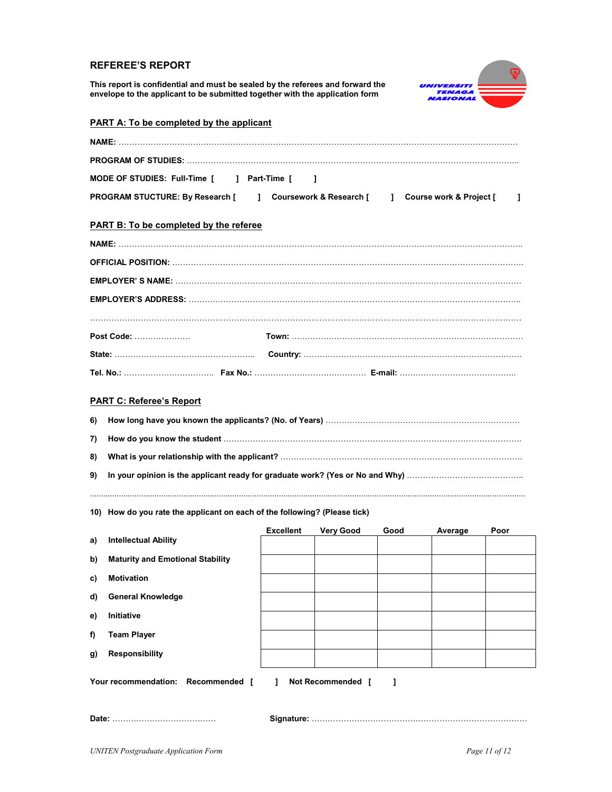### REFEREE'S REPORT

This report is confidential and must be sealed by the referees and forward the envelope to the applicant to be submitted together with the application form



|    | <b>PART A: To be completed by the applicant</b>                                                              |                  |                  |      |         |      |
|----|--------------------------------------------------------------------------------------------------------------|------------------|------------------|------|---------|------|
|    |                                                                                                              |                  |                  |      |         |      |
|    |                                                                                                              |                  |                  |      |         |      |
|    | MODE OF STUDIES: Full-Time [ ] Part-Time [                                                                   | $\sim$ 1         |                  |      |         |      |
|    | PROGRAM STUCTURE: By Research [<br>] Coursework & Research [<br>Course work & Project [<br>$\mathbf{1}$<br>ı |                  |                  |      |         |      |
|    | PART B: To be completed by the referee                                                                       |                  |                  |      |         |      |
|    |                                                                                                              |                  |                  |      |         |      |
|    |                                                                                                              |                  |                  |      |         |      |
|    |                                                                                                              |                  |                  |      |         |      |
|    |                                                                                                              |                  |                  |      |         |      |
|    |                                                                                                              |                  |                  |      |         |      |
|    | Post Code:                                                                                                   |                  |                  |      |         |      |
|    |                                                                                                              |                  |                  |      |         |      |
|    |                                                                                                              |                  |                  |      |         |      |
|    | <b>PART C: Referee's Report</b>                                                                              |                  |                  |      |         |      |
| 6) |                                                                                                              |                  |                  |      |         |      |
| 7) |                                                                                                              |                  |                  |      |         |      |
| 8) |                                                                                                              |                  |                  |      |         |      |
| 9) |                                                                                                              |                  |                  |      |         |      |
|    | 10) How do you rate the applicant on each of the following? (Please tick)                                    |                  |                  |      |         |      |
| a) | <b>Intellectual Ability</b>                                                                                  | <b>Excellent</b> | <b>Very Good</b> | Good | Average | Poor |

| a) | <b>INTERFECTUAL ADIRITY</b>                                  |  |  |  |  |  |
|----|--------------------------------------------------------------|--|--|--|--|--|
| b) | <b>Maturity and Emotional Stability</b>                      |  |  |  |  |  |
| C) | <b>Motivation</b>                                            |  |  |  |  |  |
| d) | <b>General Knowledge</b>                                     |  |  |  |  |  |
| e) | Initiative                                                   |  |  |  |  |  |
| f) | <b>Team Player</b>                                           |  |  |  |  |  |
| g) | <b>Responsibility</b>                                        |  |  |  |  |  |
|    | Your recommendation: Recommended [<br>Not Recommended [<br>L |  |  |  |  |  |
|    |                                                              |  |  |  |  |  |